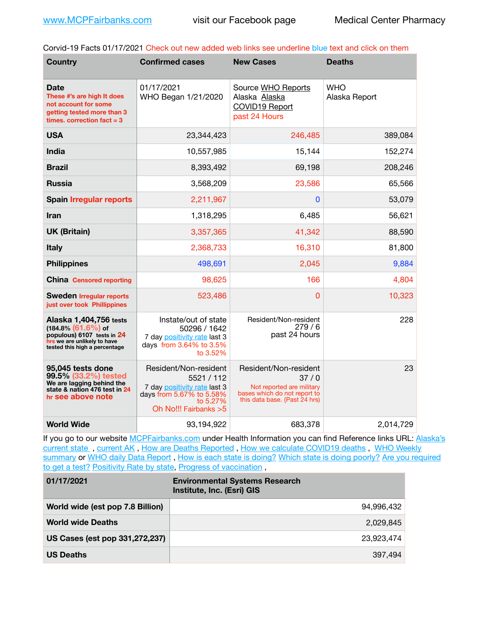Corvid-19 Facts 01/17/2021 Check out new added web links see underline blue text and click on them

| <b>Country</b>                                                                                                                                 | <b>Confirmed cases</b>                                                                                                                | <b>New Cases</b>                                                                                                            | <b>Deaths</b>               |
|------------------------------------------------------------------------------------------------------------------------------------------------|---------------------------------------------------------------------------------------------------------------------------------------|-----------------------------------------------------------------------------------------------------------------------------|-----------------------------|
| Date<br>These #'s are high It does<br>not account for some<br>getting tested more than 3<br>times, correction $fact = 3$                       | 01/17/2021<br>WHO Began 1/21/2020                                                                                                     | Source WHO Reports<br>Alaska Alaska<br>COVID19 Report<br>past 24 Hours                                                      | <b>WHO</b><br>Alaska Report |
| <b>USA</b>                                                                                                                                     | 23,344,423                                                                                                                            | 246,485                                                                                                                     | 389,084                     |
| <b>India</b>                                                                                                                                   | 10,557,985                                                                                                                            | 15,144                                                                                                                      | 152,274                     |
| <b>Brazil</b>                                                                                                                                  | 8,393,492                                                                                                                             | 69,198                                                                                                                      | 208,246                     |
| <b>Russia</b>                                                                                                                                  | 3,568,209                                                                                                                             | 23,586                                                                                                                      | 65,566                      |
| <b>Spain Irregular reports</b>                                                                                                                 | 2,211,967                                                                                                                             | $\bf{0}$                                                                                                                    | 53,079                      |
| Iran                                                                                                                                           | 1,318,295                                                                                                                             | 6,485                                                                                                                       | 56,621                      |
| <b>UK (Britain)</b>                                                                                                                            | 3,357,365                                                                                                                             | 41,342                                                                                                                      | 88,590                      |
| <b>Italy</b>                                                                                                                                   | 2,368,733                                                                                                                             | 16,310                                                                                                                      | 81,800                      |
| <b>Philippines</b>                                                                                                                             | 498,691                                                                                                                               | 2,045                                                                                                                       | 9,884                       |
| <b>China Censored reporting</b>                                                                                                                | 98,625                                                                                                                                | 166                                                                                                                         | 4,804                       |
| <b>Sweden Irregular reports</b><br>just over took Phillippines                                                                                 | 523,486                                                                                                                               | $\overline{0}$                                                                                                              | 10,323                      |
| Alaska 1,404,756 tests<br>$(184.8\%)(61.6\%)$ of<br>populous) 6107 tests in 24<br>hrs we are unlikely to have<br>tested this high a percentage | Instate/out of state<br>50296 / 1642<br>7 day positivity rate last 3<br>days from 3.64% to 3.5%<br>to 3.52%                           | Resident/Non-resident<br>279/6<br>past 24 hours                                                                             | 228                         |
| 95,045 tests done<br>99.5% (33.2%) tested<br>We are lagging behind the<br>state & nation 476 test in 24<br>hr see above note                   | Resident/Non-resident<br>5521 / 112<br>7 day positivity rate last 3<br>days from 5.67% to 5.58%<br>to 5.27%<br>Oh No!!! Fairbanks > 5 | Resident/Non-resident<br>37/0<br>Not reported are military<br>bases which do not report to<br>this data base. {Past 24 hrs) | 23                          |
| <b>World Wide</b>                                                                                                                              | 93,194,922                                                                                                                            | 683,378                                                                                                                     | 2,014,729                   |

If you go to our website [MCPFairbanks.com](http://www.MCPFairbanks.com) under Health Information you can find Reference links URL: Alaska's current state, current AK, [How are Deaths Reported](http://dhss.alaska.gov/dph/Epi/id/Pages/COVID-19/deathcounts.aspx), [How we calculate COVID19 deaths](https://coronavirus-response-alaska-dhss.hub.arcgis.com/search?collection=Document&groupIds=41ccb3344ebc4bd682c74073eba21f42), WHO Weekly [summary](http://www.who.int) or [WHO daily Data Report](https://covid19.who.int/table), [How is each state is doing?](https://www.msn.com/en-us/news/us/state-by-state-coronavirus-news/ar-BB13E1PX?fbclid=IwAR0_OBJH7lSyTN3ug_MsOeFnNgB1orTa9OBgilKJ7dhnwlVvHEsptuKkj1c) [Which state is doing poorly?](https://bestlifeonline.com/covid-outbreak-your-state/?utm_source=nsltr&utm_medium=email&utm_content=covid-outbreak-your-state&utm_campaign=launch) Are you required [to get a test?](http://dhss.alaska.gov/dph/Epi/id/SiteAssets/Pages/HumanCoV/Whattodoafteryourtest.pdf) [Positivity Rate by state](https://coronavirus.jhu.edu/testing/individual-states/alaska), [Progress of vaccination](https://covid.cdc.gov/covid-data-tracker/#vaccinations),

| 01/17/2021                       | <b>Environmental Systems Research</b><br>Institute, Inc. (Esri) GIS |
|----------------------------------|---------------------------------------------------------------------|
| World wide (est pop 7.8 Billion) | 94.996.432                                                          |
| <b>World wide Deaths</b>         | 2.029.845                                                           |
| US Cases (est pop 331,272,237)   | 23.923.474                                                          |
| <b>US Deaths</b>                 | 397.494                                                             |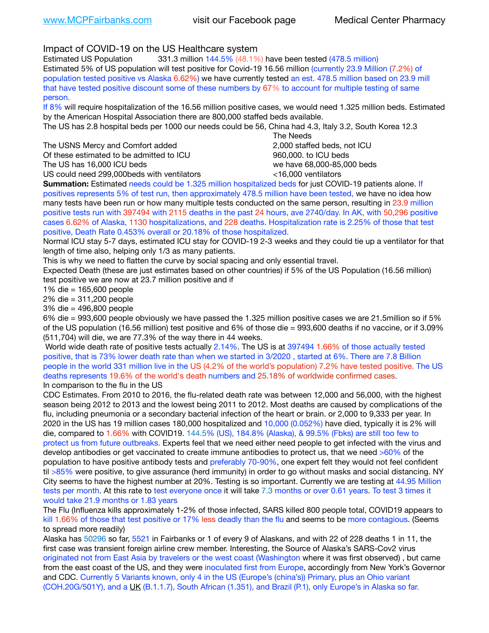Impact of COVID-19 on the US Healthcare system

Estimated US Population 331.3 million 144.5% (48.1%) have been tested (478.5 million) Estimated 5% of US population will test positive for Covid-19 16.56 million (currently 23.9 Million (7.2%) of population tested positive vs Alaska 6.62%) we have currently tested an est. 478.5 million based on 23.9 mill that have tested positive discount some of these numbers by 67% to account for multiple testing of same person.

If 8% will require hospitalization of the 16.56 million positive cases, we would need 1.325 million beds. Estimated by the American Hospital Association there are 800,000 staffed beds available.

The US has 2.8 hospital beds per 1000 our needs could be 56, China had 4.3, Italy 3.2, South Korea 12.3

The USNS Mercy and Comfort added **8.2000** staffed beds, not ICU Of these estimated to be admitted to ICU 860,000. to ICU beds The US has 16,000 ICU beds we have 68,000-85,000 beds

US could need 299,000beds with ventilators <16,000 ventilators

 The Needs

**Summation:** Estimated needs could be 1.325 million hospitalized beds for just COVID-19 patients alone. If positives represents 5% of test run, then approximately 478.5 million have been tested, we have no idea how many tests have been run or how many multiple tests conducted on the same person, resulting in 23.9 million positive tests run with 397494 with 2115 deaths in the past 24 hours, ave 2740/day. In AK, with 50,296 positive cases 6.62% of Alaska, 1130 hospitalizations, and 228 deaths. Hospitalization rate is 2.25% of those that test positive, Death Rate 0.453% overall or 20.18% of those hospitalized.

Normal ICU stay 5-7 days, estimated ICU stay for COVID-19 2-3 weeks and they could tie up a ventilator for that length of time also, helping only 1/3 as many patients.

This is why we need to flatten the curve by social spacing and only essential travel.

Expected Death (these are just estimates based on other countries) if 5% of the US Population (16.56 million) test positive we are now at 23.7 million positive and if

1% die = 165,600 people

2% die = 311,200 people

3% die = 496,800 people

6% die = 993,600 people obviously we have passed the 1.325 million positive cases we are 21.5million so if 5% of the US population (16.56 million) test positive and 6% of those die = 993,600 deaths if no vaccine, or if 3.09% (511,704) will die, we are 77.3% of the way there in 44 weeks.

 World wide death rate of positive tests actually 2.14%. The US is at 397494 1.66% of those actually tested positive, that is 73% lower death rate than when we started in 3/2020 , started at 6%. There are 7.8 Billion people in the world 331 million live in the US (4.2% of the world's population) 7.2% have tested positive. The US deaths represents 19.6% of the world's death numbers and 25.18% of worldwide confirmed cases. In comparison to the flu in the US

CDC Estimates. From 2010 to 2016, the flu-related death rate was between 12,000 and 56,000, with the highest season being 2012 to 2013 and the lowest being 2011 to 2012. Most deaths are caused by complications of the flu, including pneumonia or a secondary bacterial infection of the heart or brain. or 2,000 to 9,333 per year. In 2020 in the US has 19 million cases 180,000 hospitalized and 10,000 (0.052%) have died, typically it is 2% will die, compared to 1.66% with COVID19. 144.5% (US), 184.8% (Alaska), & 99.5% (Fbks) are still too few to protect us from future outbreaks. Experts feel that we need either need people to get infected with the virus and develop antibodies or get vaccinated to create immune antibodies to protect us, that we need >60% of the population to have positive antibody tests and preferably 70-90%, one expert felt they would not feel confident til >85% were positive, to give assurance (herd immunity) in order to go without masks and social distancing. NY City seems to have the highest number at 20%. Testing is so important. Currently we are testing at 44.95 Million tests per month. At this rate to test everyone once it will take 7.3 months or over 0.61 years. To test 3 times it would take 21.9 months or 1.83 years

The Flu (Influenza kills approximately 1-2% of those infected, SARS killed 800 people total, COVID19 appears to kill 1.66% of those that test positive or 17% less deadly than the flu and seems to be more contagious. (Seems to spread more readily)

Alaska has 50296 so far, 5521 in Fairbanks or 1 of every 9 of Alaskans, and with 22 of 228 deaths 1 in 11, the first case was transient foreign airline crew member. Interesting, the Source of Alaska's SARS-Cov2 virus originated not from East Asia by travelers or the west coast (Washington where it was first observed) , but came from the east coast of the US, and they were inoculated first from Europe, accordingly from New York's Governor and CDC. Currently 5 Variants known, only 4 in the US (Europe's (china's)) Primary, plus an Ohio variant (COH.20G/501Y), and a [UK](https://www.cdc.gov/coronavirus/2019-ncov/transmission/variant-cases.html) (B.1.1.7), South African (1.351), and Brazil (P.1), only Europe's in Alaska so far.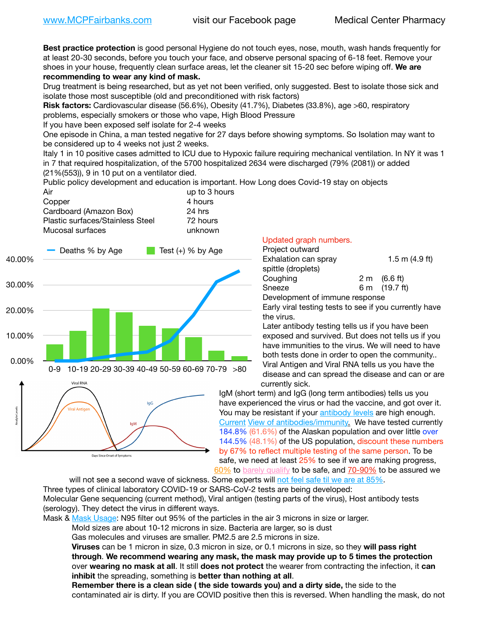**Best practice protection** is good personal Hygiene do not touch eyes, nose, mouth, wash hands frequently for at least 20-30 seconds, before you touch your face, and observe personal spacing of 6-18 feet. Remove your shoes in your house, frequently clean surface areas, let the cleaner sit 15-20 sec before wiping off. **We are recommending to wear any kind of mask.**

Drug treatment is being researched, but as yet not been verified, only suggested. Best to isolate those sick and isolate those most susceptible (old and preconditioned with risk factors)

**Risk factors:** Cardiovascular disease (56.6%), Obesity (41.7%), Diabetes (33.8%), age >60, respiratory problems, especially smokers or those who vape, High Blood Pressure

If you have been exposed self isolate for 2-4 weeks

One episode in China, a man tested negative for 27 days before showing symptoms. So Isolation may want to be considered up to 4 weeks not just 2 weeks.

Italy 1 in 10 positive cases admitted to ICU due to Hypoxic failure requiring mechanical ventilation. In NY it was 1 in 7 that required hospitalization, of the 5700 hospitalized 2634 were discharged (79% (2081)) or added (21%(553)), 9 in 10 put on a ventilator died.

Public policy development and education is important. How Long does Covid-19 stay on objects

| Air                              | up to 3 hours |
|----------------------------------|---------------|
| Copper                           | 4 hours       |
| Cardboard (Amazon Box)           | 24 hrs        |
| Plastic surfaces/Stainless Steel | 72 hours      |
| Mucosal surfaces                 | unknown       |
|                                  |               |



## Updated graph numbers.

| Project outward                |                        |
|--------------------------------|------------------------|
| Exhalation can spray           | 1.5 m $(4.9$ ft)       |
| spittle (droplets)             |                        |
| Coughing                       | $2 \text{ m}$ (6.6 ft) |
| Sneeze                         | 6 m (19.7 ft)          |
| Development of immune response |                        |

Early viral testing tests to see if you currently have the virus.

Later antibody testing tells us if you have been exposed and survived. But does not tells us if you have immunities to the virus. We will need to have both tests done in order to open the community.. Viral Antigen and Viral RNA tells us you have the disease and can spread the disease and can or are currently sick.

IgM (short term) and IgG (long term antibodies) tells us you have experienced the virus or had the vaccine, and got over it. You may be resistant if your [antibody levels](https://www.cdc.gov/coronavirus/2019-ncov/lab/resources/antibody-tests.html) are high enough. [Current](https://l.facebook.com/l.php?u=https://www.itv.com/news/2020-10-26/covid-19-antibody-levels-reduce-over-time-study-finds?fbclid=IwAR3Dapzh1qIH1EIOdUQI2y8THf7jfA4KBCaJz8Qg-8xe1YsrR4nsAHDIXSY&h=AT30nut8pkqp0heVuz5W2rT2WFFm-2Ab52BsJxZZCNlGsX58IpPkuVEPULbIUV_M16MAukx1Kwb657DPXxsgDN1rpOQ4gqBtQsmVYiWpnHPJo2RQsU6CPMd14lgLnQnFWxfVi6zvmw&__tn__=-UK-R&c%5B0%5D=AT1GaRAfR_nGAyqcn7TI1-PpvqOqEKXHnz6TDWvRStMnOSH7boQDvTiwTOc6VId9UES6LKiOmm2m88wKCoolkJyOFvakt2Z1Mw8toYWGGoWW23r0MNVBl7cYJXB_UOvGklNHaNnaNr1_S7NhT3BSykNOBg) [View of antibodies/immunity](https://www.livescience.com/antibodies.html)[.](https://www.itv.com/news/2020-10-26/covid-19-antibody-levels-reduce-over-time-study-finds) We have tested currently 184.8% (61.6%) of the Alaskan population and over little over 144.5% (48.1%) of the US population, discount these numbers by 67% to reflect multiple testing of the same person. To be safe, we need at least 25% to see if we are making progress, [60%](https://www.jhsph.edu/covid-19/articles/achieving-herd-immunity-with-covid19.html) to [barely qualify](https://www.nature.com/articles/d41586-020-02948-4) to be safe, and [70-90%](https://www.mayoclinic.org/herd-immunity-and-coronavirus/art-20486808) to be assured we

will not see a second wave of sickness. Some experts will [not feel safe til we are at 85%.](https://www.bannerhealth.com/healthcareblog/teach-me/what-is-herd-immunity) Three types of clinical laboratory COVID-19 or SARS-CoV-2 tests are being developed: Molecular Gene sequencing (current method), Viral antigen (testing parts of the virus), Host antibody tests (serology). They detect the virus in different ways.

Mask & [Mask Usage:](https://www.nationalgeographic.com/history/2020/03/how-cities-flattened-curve-1918-spanish-flu-pandemic-coronavirus/) N95 filter out 95% of the particles in the air 3 microns in size or larger.

Mold sizes are about 10-12 microns in size. Bacteria are larger, so is dust

Gas molecules and viruses are smaller. PM2.5 are 2.5 microns in size.

**Viruses** can be 1 micron in size, 0.3 micron in size, or 0.1 microns in size, so they **will pass right through**. **We recommend wearing any mask, the mask may provide up to 5 times the protection** over **wearing no mask at all**. It still **does not protect** the wearer from contracting the infection, it **can inhibit** the spreading, something is **better than nothing at all**.

**Remember there is a clean side ( the side towards you) and a dirty side,** the side to the contaminated air is dirty. If you are COVID positive then this is reversed. When handling the mask, do not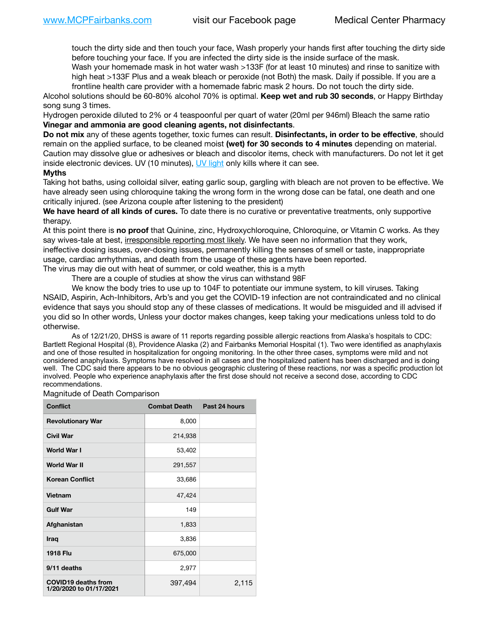touch the dirty side and then touch your face, Wash properly your hands first after touching the dirty side before touching your face. If you are infected the dirty side is the inside surface of the mask.

Wash your homemade mask in hot water wash >133F (for at least 10 minutes) and rinse to sanitize with high heat >133F Plus and a weak bleach or peroxide (not Both) the mask. Daily if possible. If you are a frontline health care provider with a homemade fabric mask 2 hours. Do not touch the dirty side.

Alcohol solutions should be 60-80% alcohol 70% is optimal. **Keep wet and rub 30 seconds**, or Happy Birthday song sung 3 times.

Hydrogen peroxide diluted to 2% or 4 teaspoonful per quart of water (20ml per 946ml) Bleach the same ratio **Vinegar and ammonia are good cleaning agents, not disinfectants**.

**Do not mix** any of these agents together, toxic fumes can result. **Disinfectants, in order to be effective**, should remain on the applied surface, to be cleaned moist **(wet) for 30 seconds to 4 minutes** depending on material. Caution may dissolve glue or adhesives or bleach and discolor items, check with manufacturers. Do not let it get inside electronic devices. UV (10 minutes), [UV light](http://www.docreviews.me/best-uv-boxes-2020/?fbclid=IwAR3bvFtXB48OoBBSvYvTEnKuHNPbipxM6jUo82QUSw9wckxjC7wwRZWabGw) only kills where it can see.

## **Myths**

Taking hot baths, using colloidal silver, eating garlic soup, gargling with bleach are not proven to be effective. We have already seen using chloroquine taking the wrong form in the wrong dose can be fatal, one death and one critically injured. (see Arizona couple after listening to the president)

**We have heard of all kinds of cures.** To date there is no curative or preventative treatments, only supportive therapy.

At this point there is **no proof** that Quinine, zinc, Hydroxychloroquine, Chloroquine, or Vitamin C works. As they say wives-tale at best, irresponsible reporting most likely. We have seen no information that they work, ineffective dosing issues, over-dosing issues, permanently killing the senses of smell or taste, inappropriate usage, cardiac arrhythmias, and death from the usage of these agents have been reported. The virus may die out with heat of summer, or cold weather, this is a myth

There are a couple of studies at show the virus can withstand 98F

We know the body tries to use up to 104F to potentiate our immune system, to kill viruses. Taking NSAID, Aspirin, Ach-Inhibitors, Arb's and you get the COVID-19 infection are not contraindicated and no clinical evidence that says you should stop any of these classes of medications. It would be misguided and ill advised if you did so In other words, Unless your doctor makes changes, keep taking your medications unless told to do otherwise.

As of 12/21/20, DHSS is aware of 11 reports regarding possible allergic reactions from Alaska's hospitals to CDC: Bartlett Regional Hospital (8), Providence Alaska (2) and Fairbanks Memorial Hospital (1). Two were identified as anaphylaxis and one of those resulted in hospitalization for ongoing monitoring. In the other three cases, symptoms were mild and not considered anaphylaxis. Symptoms have resolved in all cases and the hospitalized patient has been discharged and is doing well. The CDC said there appears to be no obvious geographic clustering of these reactions, nor was a specific production lot involved. People who experience anaphylaxis after the first dose should not receive a second dose, according to CDC recommendations.

Magnitude of Death Comparison

| <b>Conflict</b>                                       | <b>Combat Death</b> | Past 24 hours |
|-------------------------------------------------------|---------------------|---------------|
| <b>Revolutionary War</b>                              | 8,000               |               |
| <b>Civil War</b>                                      | 214,938             |               |
| <b>World War I</b>                                    | 53,402              |               |
| <b>World War II</b>                                   | 291,557             |               |
| <b>Korean Conflict</b>                                | 33,686              |               |
| <b>Vietnam</b>                                        | 47,424              |               |
| <b>Gulf War</b>                                       | 149                 |               |
| Afghanistan                                           | 1,833               |               |
| <b>Iraq</b>                                           | 3,836               |               |
| <b>1918 Flu</b>                                       | 675,000             |               |
| 9/11 deaths                                           | 2,977               |               |
| <b>COVID19 deaths from</b><br>1/20/2020 to 01/17/2021 | 397,494             | 2,115         |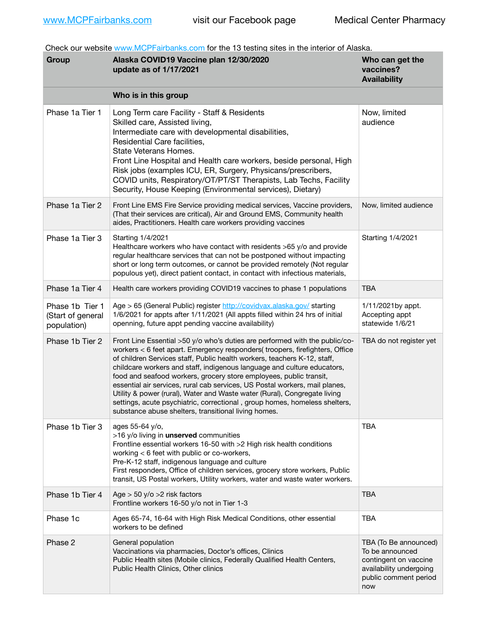Check our website [www.MCPFairbanks.com](http://www.MCPFairbanks.com) for the 13 testing sites in the interior of Alaska.

| Group                                               | Alaska COVID19 Vaccine plan 12/30/2020<br>update as of 1/17/2021                                                                                                                                                                                                                                                                                                                                                                                                                                                                                                                                                                                                                           | Who can get the<br>vaccines?<br><b>Availability</b>                                                                          |
|-----------------------------------------------------|--------------------------------------------------------------------------------------------------------------------------------------------------------------------------------------------------------------------------------------------------------------------------------------------------------------------------------------------------------------------------------------------------------------------------------------------------------------------------------------------------------------------------------------------------------------------------------------------------------------------------------------------------------------------------------------------|------------------------------------------------------------------------------------------------------------------------------|
|                                                     | Who is in this group                                                                                                                                                                                                                                                                                                                                                                                                                                                                                                                                                                                                                                                                       |                                                                                                                              |
| Phase 1a Tier 1                                     | Long Term care Facility - Staff & Residents<br>Skilled care, Assisted living,<br>Intermediate care with developmental disabilities,<br>Residential Care facilities,<br>State Veterans Homes.<br>Front Line Hospital and Health care workers, beside personal, High<br>Risk jobs (examples ICU, ER, Surgery, Physicans/prescribers,<br>COVID units, Respiratory/OT/PT/ST Therapists, Lab Techs, Facility<br>Security, House Keeping (Environmental services), Dietary)                                                                                                                                                                                                                      | Now, limited<br>audience                                                                                                     |
| Phase 1a Tier 2                                     | Front Line EMS Fire Service providing medical services, Vaccine providers,<br>(That their services are critical), Air and Ground EMS, Community health<br>aides, Practitioners. Health care workers providing vaccines                                                                                                                                                                                                                                                                                                                                                                                                                                                                     | Now, limited audience                                                                                                        |
| Phase 1a Tier 3                                     | Starting 1/4/2021<br>Healthcare workers who have contact with residents >65 y/o and provide<br>regular healthcare services that can not be postponed without impacting<br>short or long term outcomes, or cannot be provided remotely (Not regular<br>populous yet), direct patient contact, in contact with infectious materials,                                                                                                                                                                                                                                                                                                                                                         | Starting 1/4/2021                                                                                                            |
| Phase 1a Tier 4                                     | Health care workers providing COVID19 vaccines to phase 1 populations                                                                                                                                                                                                                                                                                                                                                                                                                                                                                                                                                                                                                      | <b>TBA</b>                                                                                                                   |
| Phase 1b Tier 1<br>(Start of general<br>population) | Age > 65 (General Public) register http://covidvax.alaska.gov/ starting<br>1/6/2021 for appts after 1/11/2021 (All appts filled within 24 hrs of initial<br>openning, future appt pending vaccine availability)                                                                                                                                                                                                                                                                                                                                                                                                                                                                            | 1/11/2021by appt.<br>Accepting appt<br>statewide 1/6/21                                                                      |
| Phase 1b Tier 2                                     | Front Line Essential >50 y/o who's duties are performed with the public/co-<br>workers < 6 feet apart. Emergency responders( troopers, firefighters, Office<br>of children Services staff, Public health workers, teachers K-12, staff,<br>childcare workers and staff, indigenous language and culture educators,<br>food and seafood workers, grocery store employees, public transit,<br>essential air services, rural cab services, US Postal workers, mail planes,<br>Utility & power (rural), Water and Waste water (Rural), Congregate living<br>settings, acute psychiatric, correctional, group homes, homeless shelters,<br>substance abuse shelters, transitional living homes. | TBA do not register yet                                                                                                      |
| Phase 1b Tier 3                                     | ages 55-64 y/o,<br>>16 y/o living in unserved communities<br>Frontline essential workers 16-50 with >2 High risk health conditions<br>working < 6 feet with public or co-workers,<br>Pre-K-12 staff, indigenous language and culture<br>First responders, Office of children services, grocery store workers, Public<br>transit, US Postal workers, Utility workers, water and waste water workers.                                                                                                                                                                                                                                                                                        | <b>TBA</b>                                                                                                                   |
| Phase 1b Tier 4                                     | Age $> 50$ y/o $>2$ risk factors<br>Frontline workers 16-50 y/o not in Tier 1-3                                                                                                                                                                                                                                                                                                                                                                                                                                                                                                                                                                                                            | <b>TBA</b>                                                                                                                   |
| Phase 1c                                            | Ages 65-74, 16-64 with High Risk Medical Conditions, other essential<br>workers to be defined                                                                                                                                                                                                                                                                                                                                                                                                                                                                                                                                                                                              | <b>TBA</b>                                                                                                                   |
| Phase 2                                             | General population<br>Vaccinations via pharmacies, Doctor's offices, Clinics<br>Public Health sites (Mobile clinics, Federally Qualified Health Centers,<br>Public Health Clinics, Other clinics                                                                                                                                                                                                                                                                                                                                                                                                                                                                                           | TBA (To Be announced)<br>To be announced<br>contingent on vaccine<br>availability undergoing<br>public comment period<br>now |